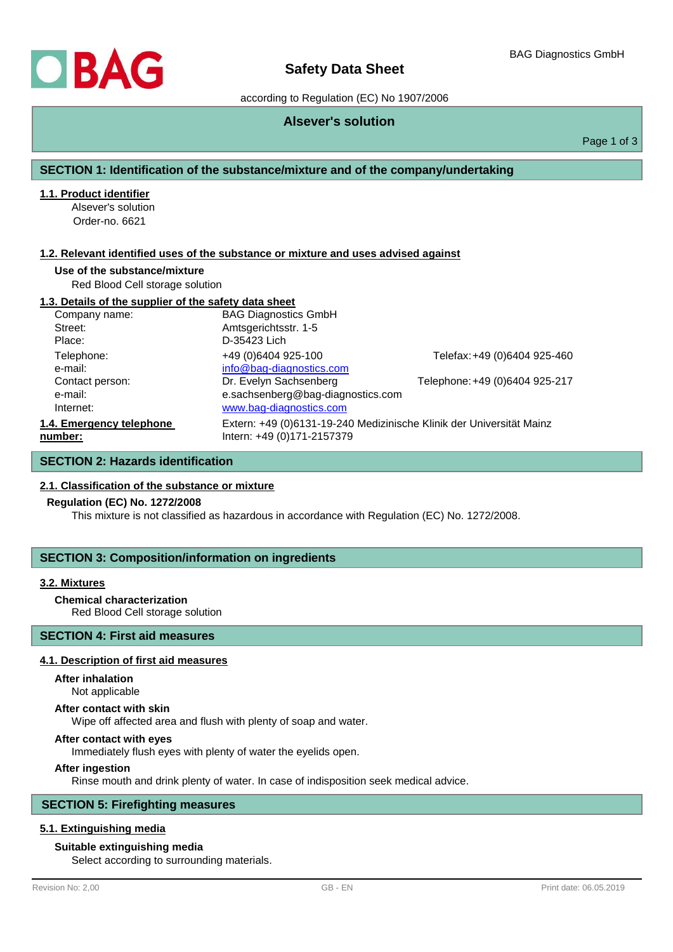

# **Safety Data Sheet**

according to Regulation (EC) No 1907/2006

## **Alsever's solution**

Page 1 of 3

## **SECTION 1: Identification of the substance/mixture and of the company/undertaking**

#### **1.1. Product identifier**

Alsever's solution Order-no. 6621

#### **1.2. Relevant identified uses of the substance or mixture and uses advised against**

#### **Use of the substance/mixture**

Red Blood Cell storage solution

#### **1.3. Details of the supplier of the safety data sheet**

| Company name:                           | <b>BAG Diagnostics GmbH</b>                                                                        |                                |
|-----------------------------------------|----------------------------------------------------------------------------------------------------|--------------------------------|
| Street:                                 | Amtsgerichtsstr. 1-5                                                                               |                                |
| Place:                                  | D-35423 Lich                                                                                       |                                |
| Telephone:<br>e-mail:                   | +49 (0)6404 925-100<br>info@bag-diagnostics.com                                                    | Telefax: +49 (0)6404 925-460   |
| Contact person:<br>e-mail:<br>Internet: | Dr. Evelyn Sachsenberg<br>e.sachsenberg@bag-diagnostics.com<br>www.bag-diagnostics.com             | Telephone: +49 (0)6404 925-217 |
| 1.4. Emergency telephone<br>number:     | Extern: +49 (0)6131-19-240 Medizinische Klinik der Universität Mainz<br>Intern: +49 (0)171-2157379 |                                |

## **SECTION 2: Hazards identification**

#### **2.1. Classification of the substance or mixture**

#### **Regulation (EC) No. 1272/2008**

This mixture is not classified as hazardous in accordance with Regulation (EC) No. 1272/2008.

#### **SECTION 3: Composition/information on ingredients**

#### **3.2. Mixtures**

#### **Chemical characterization**

Red Blood Cell storage solution

## **SECTION 4: First aid measures**

#### **4.1. Description of first aid measures**

## **After inhalation**

Not applicable

#### **After contact with skin**

Wipe off affected area and flush with plenty of soap and water.

#### **After contact with eyes**

Immediately flush eyes with plenty of water the eyelids open.

#### **After ingestion**

Rinse mouth and drink plenty of water. In case of indisposition seek medical advice.

## **SECTION 5: Firefighting measures**

#### **5.1. Extinguishing media**

#### **Suitable extinguishing media**

Select according to surrounding materials.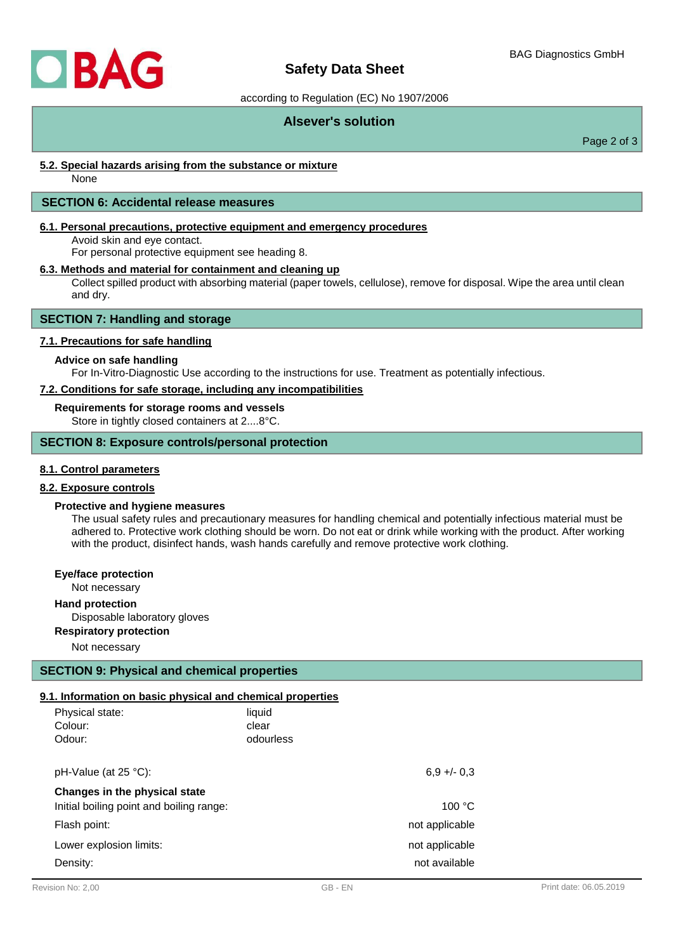

# **Safety Data Sheet**

#### according to Regulation (EC) No 1907/2006

## **Alsever's solution**

Page 2 of 3

#### **5.2. Special hazards arising from the substance or mixture**

None

#### **SECTION 6: Accidental release measures**

#### **6.1. Personal precautions, protective equipment and emergency procedures**

Avoid skin and eye contact.

For personal protective equipment see heading 8.

#### **6.3. Methods and material for containment and cleaning up**

Collect spilled product with absorbing material (paper towels, cellulose), remove for disposal. Wipe the area until clean and dry.

## **SECTION 7: Handling and storage**

#### **7.1. Precautions for safe handling**

#### **Advice on safe handling**

For In-Vitro-Diagnostic Use according to the instructions for use. Treatment as potentially infectious.

#### **7.2. Conditions for safe storage, including any incompatibilities**

#### **Requirements for storage rooms and vessels**

Store in tightly closed containers at 2....8°C.

#### **SECTION 8: Exposure controls/personal protection**

#### **8.1. Control parameters**

#### **8.2. Exposure controls**

#### **Protective and hygiene measures**

The usual safety rules and precautionary measures for handling chemical and potentially infectious material must be adhered to. Protective work clothing should be worn. Do not eat or drink while working with the product. After working with the product, disinfect hands, wash hands carefully and remove protective work clothing.

#### **Eye/face protection**

Not necessary

#### **Hand protection**

Disposable laboratory gloves

**Respiratory protection**

Not necessary

## **SECTION 9: Physical and chemical properties**

## **9.1. Information on basic physical and chemical properties**

| Physical state:<br>Colour:<br>Odour:     | liquid<br>clear<br>odourless |                |
|------------------------------------------|------------------------------|----------------|
| pH-Value (at 25 °C):                     |                              | $6,9 +/- 0,3$  |
| Changes in the physical state            |                              |                |
| Initial boiling point and boiling range: |                              | 100 °C         |
| Flash point:                             |                              | not applicable |
| Lower explosion limits:                  |                              | not applicable |
| Density:                                 |                              | not available  |
|                                          |                              |                |